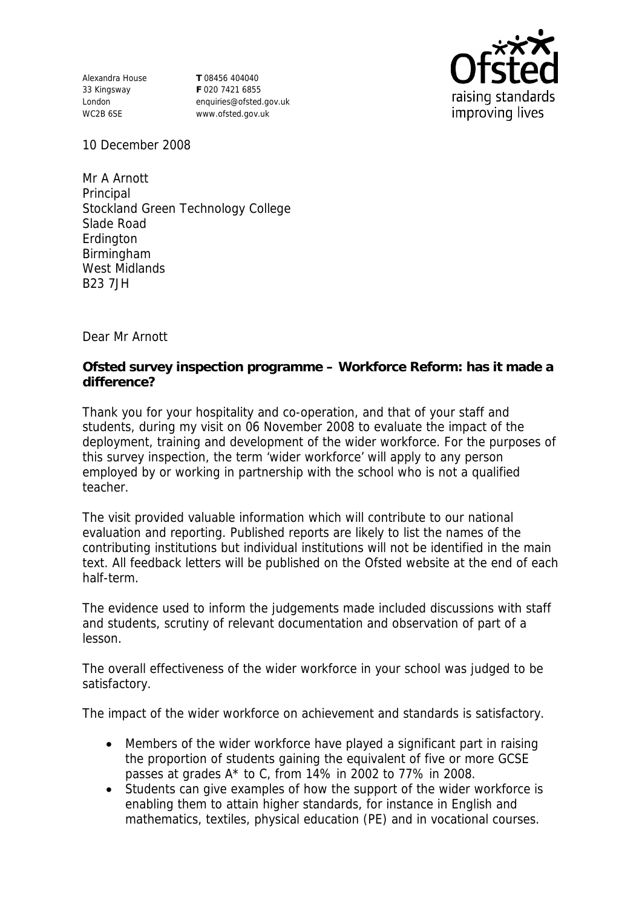Alexandra House 33 Kingsway London WC2B 6SE

**T** 08456 404040 **F** 020 7421 6855 enquiries@ofsted.gov.uk www.ofsted.gov.uk



10 December 2008

Mr A Arnott Principal Stockland Green Technology College Slade Road **Erdington** Birmingham West Midlands B23 7JH

Dear Mr Arnott

**Ofsted survey inspection programme – Workforce Reform: has it made a difference?**

Thank you for your hospitality and co-operation, and that of your staff and students, during my visit on 06 November 2008 to evaluate the impact of the deployment, training and development of the wider workforce. For the purposes of this survey inspection, the term 'wider workforce' will apply to any person employed by or working in partnership with the school who is not a qualified teacher.

The visit provided valuable information which will contribute to our national evaluation and reporting. Published reports are likely to list the names of the contributing institutions but individual institutions will not be identified in the main text. All feedback letters will be published on the Ofsted website at the end of each half-term.

The evidence used to inform the judgements made included discussions with staff and students, scrutiny of relevant documentation and observation of part of a lesson.

The overall effectiveness of the wider workforce in your school was judged to be satisfactory.

The impact of the wider workforce on achievement and standards is satisfactory.

- Members of the wider workforce have played a significant part in raising the proportion of students gaining the equivalent of five or more GCSE passes at grades A\* to C, from 14% in 2002 to 77% in 2008.
- Students can give examples of how the support of the wider workforce is enabling them to attain higher standards, for instance in English and mathematics, textiles, physical education (PE) and in vocational courses.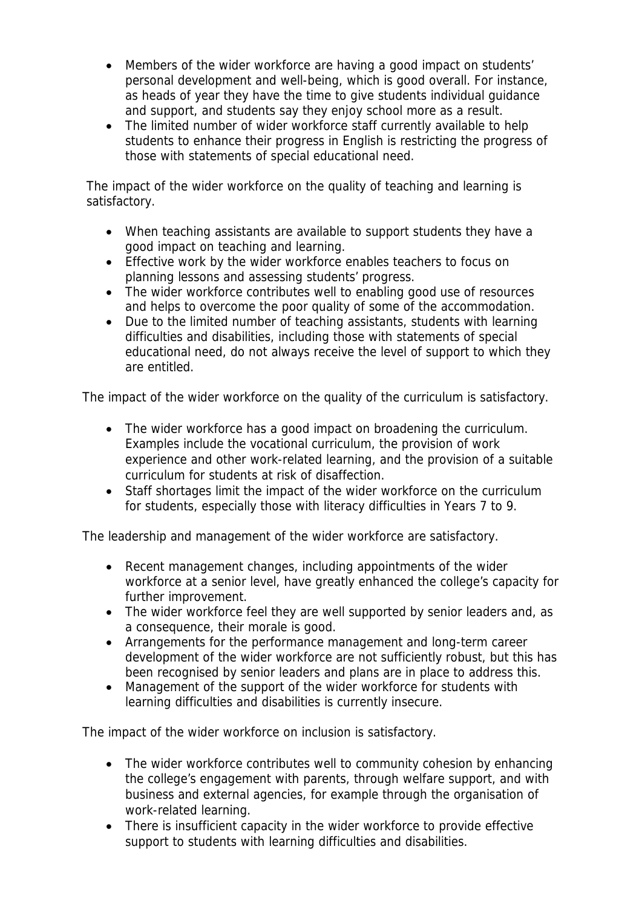- Members of the wider workforce are having a good impact on students' personal development and well-being, which is good overall. For instance, as heads of year they have the time to give students individual guidance and support, and students say they enjoy school more as a result.
- The limited number of wider workforce staff currently available to help students to enhance their progress in English is restricting the progress of those with statements of special educational need.

The impact of the wider workforce on the quality of teaching and learning is satisfactory.

- When teaching assistants are available to support students they have a good impact on teaching and learning.
- Effective work by the wider workforce enables teachers to focus on planning lessons and assessing students' progress.
- The wider workforce contributes well to enabling good use of resources and helps to overcome the poor quality of some of the accommodation.
- Due to the limited number of teaching assistants, students with learning difficulties and disabilities, including those with statements of special educational need, do not always receive the level of support to which they are entitled.

The impact of the wider workforce on the quality of the curriculum is satisfactory.

- The wider workforce has a good impact on broadening the curriculum. Examples include the vocational curriculum, the provision of work experience and other work-related learning, and the provision of a suitable curriculum for students at risk of disaffection.
- Staff shortages limit the impact of the wider workforce on the curriculum for students, especially those with literacy difficulties in Years 7 to 9.

The leadership and management of the wider workforce are satisfactory.

- Recent management changes, including appointments of the wider workforce at a senior level, have greatly enhanced the college's capacity for further improvement.
- The wider workforce feel they are well supported by senior leaders and, as a consequence, their morale is good.
- Arrangements for the performance management and long-term career development of the wider workforce are not sufficiently robust, but this has been recognised by senior leaders and plans are in place to address this.
- Management of the support of the wider workforce for students with learning difficulties and disabilities is currently insecure.

The impact of the wider workforce on inclusion is satisfactory.

- The wider workforce contributes well to community cohesion by enhancing the college's engagement with parents, through welfare support, and with business and external agencies, for example through the organisation of work-related learning.
- There is insufficient capacity in the wider workforce to provide effective support to students with learning difficulties and disabilities.